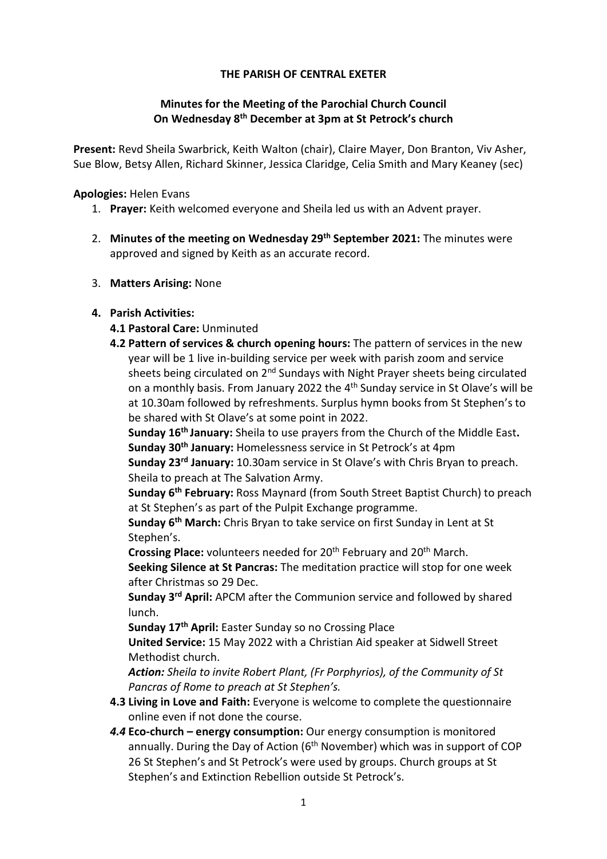## THE PARISH OF CENTRAL EXETER

# Minutes for the Meeting of the Parochial Church Council On Wednesday 8th December at 3pm at St Petrock's church

Present: Revd Sheila Swarbrick, Keith Walton (chair), Claire Mayer, Don Branton, Viv Asher, Sue Blow, Betsy Allen, Richard Skinner, Jessica Claridge, Celia Smith and Mary Keaney (sec)

Apologies: Helen Evans

- 1. Prayer: Keith welcomed everyone and Sheila led us with an Advent prayer.
- 2. Minutes of the meeting on Wednesday 29<sup>th</sup> September 2021: The minutes were approved and signed by Keith as an accurate record.
- 3. Matters Arising: None

## 4. Parish Activities:

## 4.1 Pastoral Care: Unminuted

4.2 Pattern of services & church opening hours: The pattern of services in the new year will be 1 live in-building service per week with parish zoom and service sheets being circulated on  $2^{nd}$  Sundays with Night Prayer sheets being circulated on a monthly basis. From January 2022 the 4<sup>th</sup> Sunday service in St Olave's will be at 10.30am followed by refreshments. Surplus hymn books from St Stephen's to be shared with St Olave's at some point in 2022.

Sunday 16<sup>th</sup> January: Sheila to use prayers from the Church of the Middle East. Sunday 30th January: Homelessness service in St Petrock's at 4pm

Sunday 23<sup>rd</sup> January: 10.30am service in St Olave's with Chris Bryan to preach. Sheila to preach at The Salvation Army.

Sunday 6<sup>th</sup> February: Ross Maynard (from South Street Baptist Church) to preach at St Stephen's as part of the Pulpit Exchange programme.

Sunday 6<sup>th</sup> March: Chris Bryan to take service on first Sunday in Lent at St Stephen's.

Crossing Place: volunteers needed for 20<sup>th</sup> February and 20<sup>th</sup> March.

Seeking Silence at St Pancras: The meditation practice will stop for one week after Christmas so 29 Dec.

Sunday 3rd April: APCM after the Communion service and followed by shared lunch.

Sunday 17<sup>th</sup> April: Easter Sunday so no Crossing Place

United Service: 15 May 2022 with a Christian Aid speaker at Sidwell Street Methodist church.

Action: Sheila to invite Robert Plant, (Fr Porphyrios), of the Community of St Pancras of Rome to preach at St Stephen's.

- 4.3 Living in Love and Faith: Everyone is welcome to complete the questionnaire online even if not done the course.
- 4.4 Eco-church energy consumption: Our energy consumption is monitored annually. During the Day of Action  $(6<sup>th</sup>$  November) which was in support of COP 26 St Stephen's and St Petrock's were used by groups. Church groups at St Stephen's and Extinction Rebellion outside St Petrock's.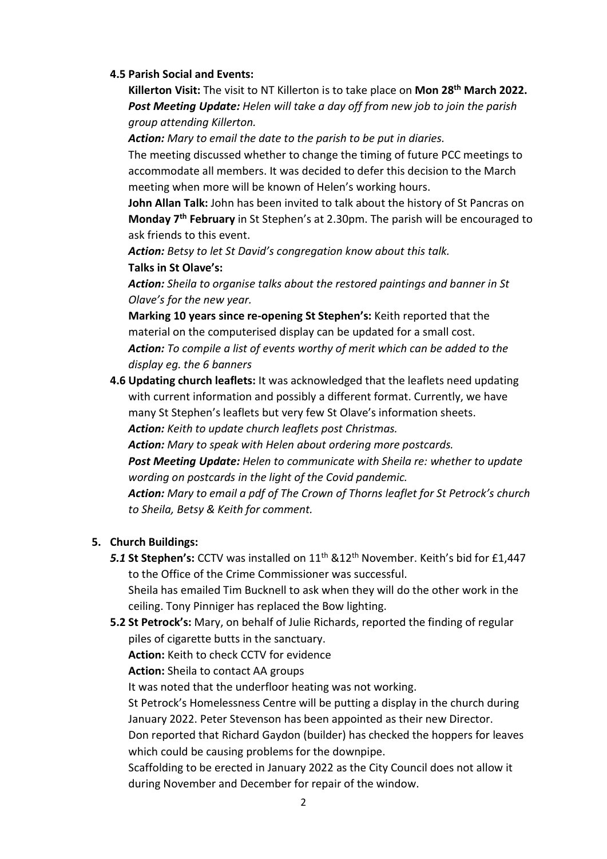### 4.5 Parish Social and Events:

Killerton Visit: The visit to NT Killerton is to take place on Mon 28<sup>th</sup> March 2022. Post Meeting Update: Helen will take a day off from new job to join the parish group attending Killerton.

Action: Mary to email the date to the parish to be put in diaries.

The meeting discussed whether to change the timing of future PCC meetings to accommodate all members. It was decided to defer this decision to the March meeting when more will be known of Helen's working hours.

John Allan Talk: John has been invited to talk about the history of St Pancras on Monday 7th February in St Stephen's at 2.30pm. The parish will be encouraged to ask friends to this event.

Action: Betsy to let St David's congregation know about this talk. Talks in St Olave's:

Action: Sheila to organise talks about the restored paintings and banner in St Olave's for the new year.

Marking 10 years since re-opening St Stephen's: Keith reported that the material on the computerised display can be updated for a small cost. Action: To compile a list of events worthy of merit which can be added to the display eg. the 6 banners

4.6 Updating church leaflets: It was acknowledged that the leaflets need updating with current information and possibly a different format. Currently, we have many St Stephen's leaflets but very few St Olave's information sheets.

Action: Keith to update church leaflets post Christmas.

Action: Mary to speak with Helen about ordering more postcards. Post Meeting Update: Helen to communicate with Sheila re: whether to update wording on postcards in the light of the Covid pandemic.

Action: Mary to email a pdf of The Crown of Thorns leaflet for St Petrock's church to Sheila, Betsy & Keith for comment.

# 5. Church Buildings:

5.1 St Stephen's: CCTV was installed on 11<sup>th</sup> &12<sup>th</sup> November. Keith's bid for £1,447 to the Office of the Crime Commissioner was successful.

Sheila has emailed Tim Bucknell to ask when they will do the other work in the ceiling. Tony Pinniger has replaced the Bow lighting.

5.2 St Petrock's: Mary, on behalf of Julie Richards, reported the finding of regular piles of cigarette butts in the sanctuary.

Action: Keith to check CCTV for evidence

Action: Sheila to contact AA groups

It was noted that the underfloor heating was not working.

St Petrock's Homelessness Centre will be putting a display in the church during January 2022. Peter Stevenson has been appointed as their new Director.

Don reported that Richard Gaydon (builder) has checked the hoppers for leaves which could be causing problems for the downpipe.

Scaffolding to be erected in January 2022 as the City Council does not allow it during November and December for repair of the window.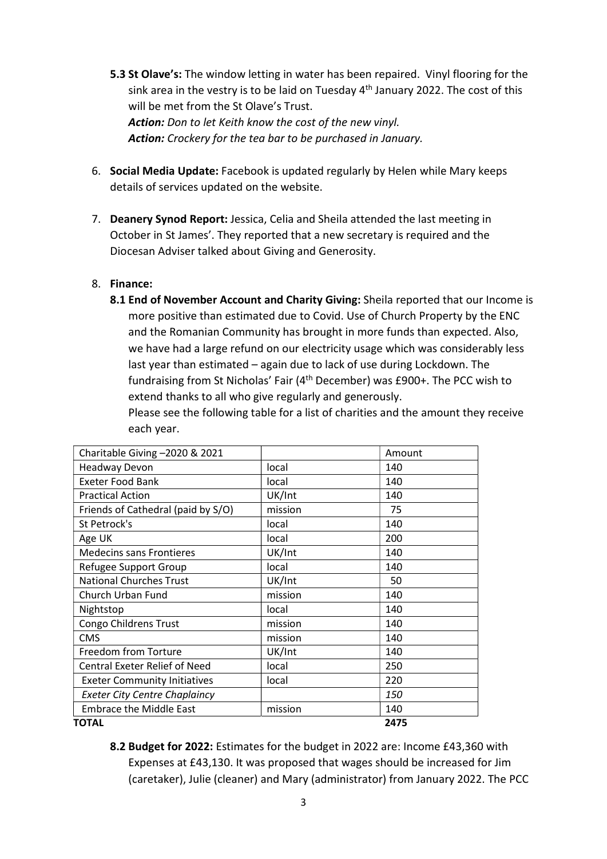- 5.3 St Olave's: The window letting in water has been repaired. Vinyl flooring for the sink area in the vestry is to be laid on Tuesday  $4<sup>th</sup>$  January 2022. The cost of this will be met from the St Olave's Trust. Action: Don to let Keith know the cost of the new vinyl. Action: Crockery for the tea bar to be purchased in January.
- 6. Social Media Update: Facebook is updated regularly by Helen while Mary keeps details of services updated on the website.
- 7. Deanery Synod Report: Jessica, Celia and Sheila attended the last meeting in October in St James'. They reported that a new secretary is required and the Diocesan Adviser talked about Giving and Generosity.

## 8. Finance:

8.1 End of November Account and Charity Giving: Sheila reported that our Income is more positive than estimated due to Covid. Use of Church Property by the ENC and the Romanian Community has brought in more funds than expected. Also, we have had a large refund on our electricity usage which was considerably less last year than estimated – again due to lack of use during Lockdown. The fundraising from St Nicholas' Fair (4th December) was £900+. The PCC wish to extend thanks to all who give regularly and generously.

Please see the following table for a list of charities and the amount they receive each year.

| Charitable Giving -2020 & 2021       |         | Amount |
|--------------------------------------|---------|--------|
| <b>Headway Devon</b>                 | local   | 140    |
| <b>Exeter Food Bank</b>              | local   | 140    |
| <b>Practical Action</b>              | UK/Int  | 140    |
| Friends of Cathedral (paid by S/O)   | mission | 75     |
| St Petrock's                         | local   | 140    |
| Age UK                               | local   | 200    |
| <b>Medecins sans Frontieres</b>      | UK/Int  | 140    |
| Refugee Support Group                | local   | 140    |
| <b>National Churches Trust</b>       | UK/Int  | 50     |
| Church Urban Fund                    | mission | 140    |
| Nightstop                            | local   | 140    |
| Congo Childrens Trust                | mission | 140    |
| <b>CMS</b>                           | mission | 140    |
| Freedom from Torture                 | UK/Int  | 140    |
| <b>Central Exeter Relief of Need</b> | local   | 250    |
| <b>Exeter Community Initiatives</b>  | local   | 220    |
| <b>Exeter City Centre Chaplaincy</b> |         | 150    |
| <b>Embrace the Middle East</b>       | mission | 140    |
| <b>TOTAL</b>                         |         | 2475   |

8.2 Budget for 2022: Estimates for the budget in 2022 are: Income £43,360 with Expenses at £43,130. It was proposed that wages should be increased for Jim (caretaker), Julie (cleaner) and Mary (administrator) from January 2022. The PCC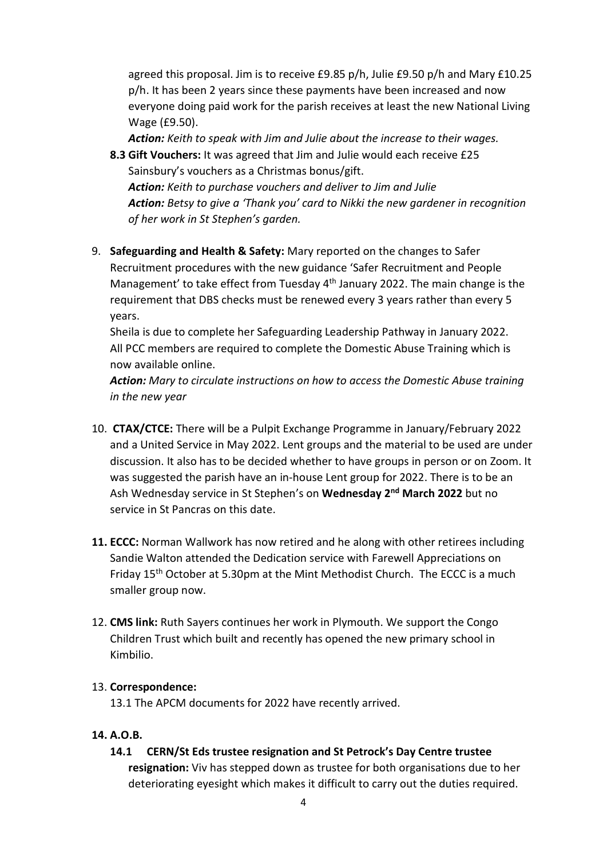agreed this proposal. Jim is to receive £9.85 p/h, Julie £9.50 p/h and Mary £10.25 p/h. It has been 2 years since these payments have been increased and now everyone doing paid work for the parish receives at least the new National Living Wage (£9.50).

Action: Keith to speak with Jim and Julie about the increase to their wages.

- 8.3 Gift Vouchers: It was agreed that Jim and Julie would each receive £25 Sainsbury's vouchers as a Christmas bonus/gift. Action: Keith to purchase vouchers and deliver to Jim and Julie Action: Betsy to give a 'Thank you' card to Nikki the new gardener in recognition of her work in St Stephen's garden.
- 9. Safeguarding and Health & Safety: Mary reported on the changes to Safer Recruitment procedures with the new guidance 'Safer Recruitment and People Management' to take effect from Tuesday 4th January 2022. The main change is the requirement that DBS checks must be renewed every 3 years rather than every 5 years.

Sheila is due to complete her Safeguarding Leadership Pathway in January 2022. All PCC members are required to complete the Domestic Abuse Training which is now available online.

Action: Mary to circulate instructions on how to access the Domestic Abuse training in the new year

- 10. CTAX/CTCE: There will be a Pulpit Exchange Programme in January/February 2022 and a United Service in May 2022. Lent groups and the material to be used are under discussion. It also has to be decided whether to have groups in person or on Zoom. It was suggested the parish have an in-house Lent group for 2022. There is to be an Ash Wednesday service in St Stephen's on Wednesday 2<sup>nd</sup> March 2022 but no service in St Pancras on this date.
- 11. ECCC: Norman Wallwork has now retired and he along with other retirees including Sandie Walton attended the Dedication service with Farewell Appreciations on Friday 15th October at 5.30pm at the Mint Methodist Church. The ECCC is a much smaller group now.
- 12. CMS link: Ruth Sayers continues her work in Plymouth. We support the Congo Children Trust which built and recently has opened the new primary school in Kimbilio.

### 13. Correspondence:

13.1 The APCM documents for 2022 have recently arrived.

## 14. A.O.B.

14.1 CERN/St Eds trustee resignation and St Petrock's Day Centre trustee resignation: Viv has stepped down as trustee for both organisations due to her deteriorating eyesight which makes it difficult to carry out the duties required.